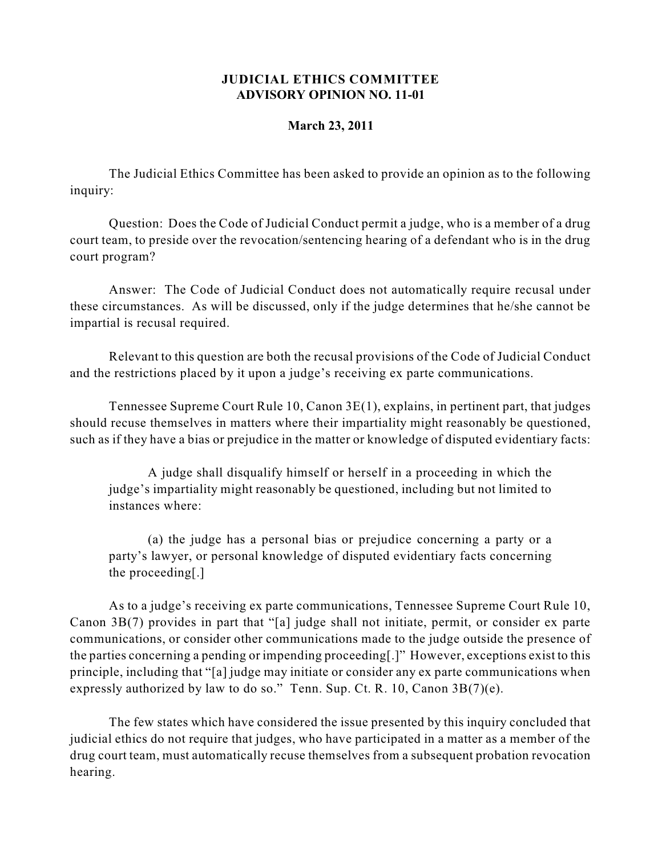## **JUDICIAL ETHICS COMMITTEE ADVISORY OPINION NO. 11-01**

## **March 23, 2011**

The Judicial Ethics Committee has been asked to provide an opinion as to the following inquiry:

Question: Does the Code of Judicial Conduct permit a judge, who is a member of a drug court team, to preside over the revocation/sentencing hearing of a defendant who is in the drug court program?

Answer: The Code of Judicial Conduct does not automatically require recusal under these circumstances. As will be discussed, only if the judge determines that he/she cannot be impartial is recusal required.

Relevant to this question are both the recusal provisions of the Code of Judicial Conduct and the restrictions placed by it upon a judge's receiving ex parte communications.

Tennessee Supreme Court Rule 10, Canon 3E(1), explains, in pertinent part, that judges should recuse themselves in matters where their impartiality might reasonably be questioned, such as if they have a bias or prejudice in the matter or knowledge of disputed evidentiary facts:

A judge shall disqualify himself or herself in a proceeding in which the judge's impartiality might reasonably be questioned, including but not limited to instances where:

(a) the judge has a personal bias or prejudice concerning a party or a party's lawyer, or personal knowledge of disputed evidentiary facts concerning the proceeding[.]

As to a judge's receiving ex parte communications, Tennessee Supreme Court Rule 10, Canon 3B(7) provides in part that "[a] judge shall not initiate, permit, or consider ex parte communications, or consider other communications made to the judge outside the presence of the parties concerning a pending or impending proceeding[.]" However, exceptions exist to this principle, including that "[a] judge may initiate or consider any ex parte communications when expressly authorized by law to do so." Tenn. Sup. Ct. R.  $10$ , Canon  $3B(7)(e)$ .

The few states which have considered the issue presented by this inquiry concluded that judicial ethics do not require that judges, who have participated in a matter as a member of the drug court team, must automatically recuse themselves from a subsequent probation revocation hearing.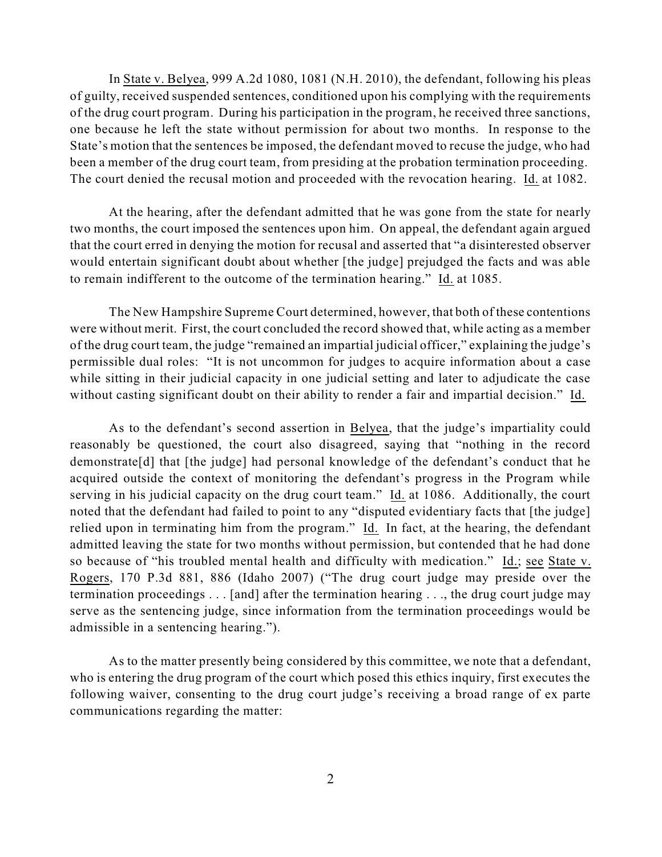In State v. Belyea, 999 A.2d 1080, 1081 (N.H. 2010), the defendant, following his pleas of guilty, received suspended sentences, conditioned upon his complying with the requirements of the drug court program. During his participation in the program, he received three sanctions, one because he left the state without permission for about two months. In response to the State's motion that the sentences be imposed, the defendant moved to recuse the judge, who had been a member of the drug court team, from presiding at the probation termination proceeding. The court denied the recusal motion and proceeded with the revocation hearing. Id. at 1082.

At the hearing, after the defendant admitted that he was gone from the state for nearly two months, the court imposed the sentences upon him. On appeal, the defendant again argued that the court erred in denying the motion for recusal and asserted that "a disinterested observer would entertain significant doubt about whether [the judge] prejudged the facts and was able to remain indifferent to the outcome of the termination hearing." Id. at 1085.

The New Hampshire Supreme Court determined, however, that both of these contentions were without merit. First, the court concluded the record showed that, while acting as a member of the drug court team, the judge "remained an impartial judicial officer," explaining the judge's permissible dual roles: "It is not uncommon for judges to acquire information about a case while sitting in their judicial capacity in one judicial setting and later to adjudicate the case without casting significant doubt on their ability to render a fair and impartial decision." Id.

As to the defendant's second assertion in Belyea, that the judge's impartiality could reasonably be questioned, the court also disagreed, saying that "nothing in the record demonstrate[d] that [the judge] had personal knowledge of the defendant's conduct that he acquired outside the context of monitoring the defendant's progress in the Program while serving in his judicial capacity on the drug court team." Id. at 1086. Additionally, the court noted that the defendant had failed to point to any "disputed evidentiary facts that [the judge] relied upon in terminating him from the program." Id. In fact, at the hearing, the defendant admitted leaving the state for two months without permission, but contended that he had done so because of "his troubled mental health and difficulty with medication." Id.; see State v. Rogers, 170 P.3d 881, 886 (Idaho 2007) ("The drug court judge may preside over the termination proceedings . . . [and] after the termination hearing . . ., the drug court judge may serve as the sentencing judge, since information from the termination proceedings would be admissible in a sentencing hearing.").

As to the matter presently being considered by this committee, we note that a defendant, who is entering the drug program of the court which posed this ethics inquiry, first executes the following waiver, consenting to the drug court judge's receiving a broad range of ex parte communications regarding the matter: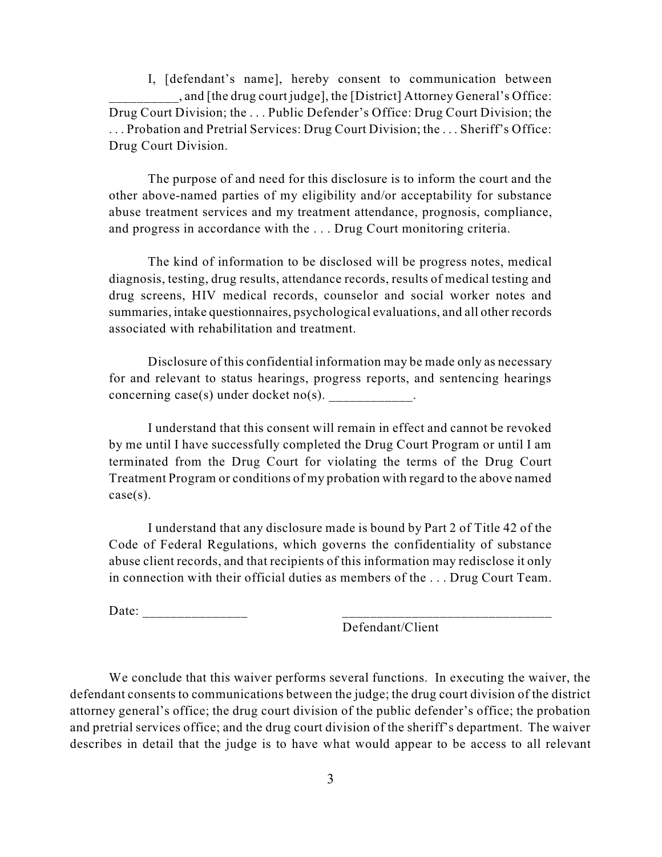I, [defendant's name], hereby consent to communication between \_\_\_\_\_\_\_\_\_\_, and [the drug court judge], the [District] Attorney General's Office: Drug Court Division; the . . . Public Defender's Office: Drug Court Division; the . . . Probation and Pretrial Services: Drug Court Division; the . . . Sheriff's Office: Drug Court Division.

The purpose of and need for this disclosure is to inform the court and the other above-named parties of my eligibility and/or acceptability for substance abuse treatment services and my treatment attendance, prognosis, compliance, and progress in accordance with the . . . Drug Court monitoring criteria.

The kind of information to be disclosed will be progress notes, medical diagnosis, testing, drug results, attendance records, results of medical testing and drug screens, HIV medical records, counselor and social worker notes and summaries, intake questionnaires, psychological evaluations, and all other records associated with rehabilitation and treatment.

Disclosure of this confidential information may be made only as necessary for and relevant to status hearings, progress reports, and sentencing hearings concerning  $case(s)$  under docket no(s).

I understand that this consent will remain in effect and cannot be revoked by me until I have successfully completed the Drug Court Program or until I am terminated from the Drug Court for violating the terms of the Drug Court Treatment Program or conditions of my probation with regard to the above named case(s).

I understand that any disclosure made is bound by Part 2 of Title 42 of the Code of Federal Regulations, which governs the confidentiality of substance abuse client records, and that recipients of this information may redisclose it only in connection with their official duties as members of the . . . Drug Court Team.

Date:  $\frac{1}{\sqrt{1-\frac{1}{2}}}\left\{ \frac{1}{2} + \frac{1}{2} + \frac{1}{2} + \frac{1}{2} + \frac{1}{2} + \frac{1}{2} + \frac{1}{2} + \frac{1}{2} + \frac{1}{2} + \frac{1}{2} + \frac{1}{2} + \frac{1}{2} + \frac{1}{2} + \frac{1}{2} + \frac{1}{2} + \frac{1}{2} + \frac{1}{2} + \frac{1}{2} + \frac{1}{2} + \frac{1}{2} + \frac{1}{2} + \frac{1}{2} + \frac{1}{2} + \frac{1}{2} + \frac$ 

Defendant/Client

We conclude that this waiver performs several functions. In executing the waiver, the defendant consents to communications between the judge; the drug court division of the district attorney general's office; the drug court division of the public defender's office; the probation and pretrial services office; and the drug court division of the sheriff's department. The waiver describes in detail that the judge is to have what would appear to be access to all relevant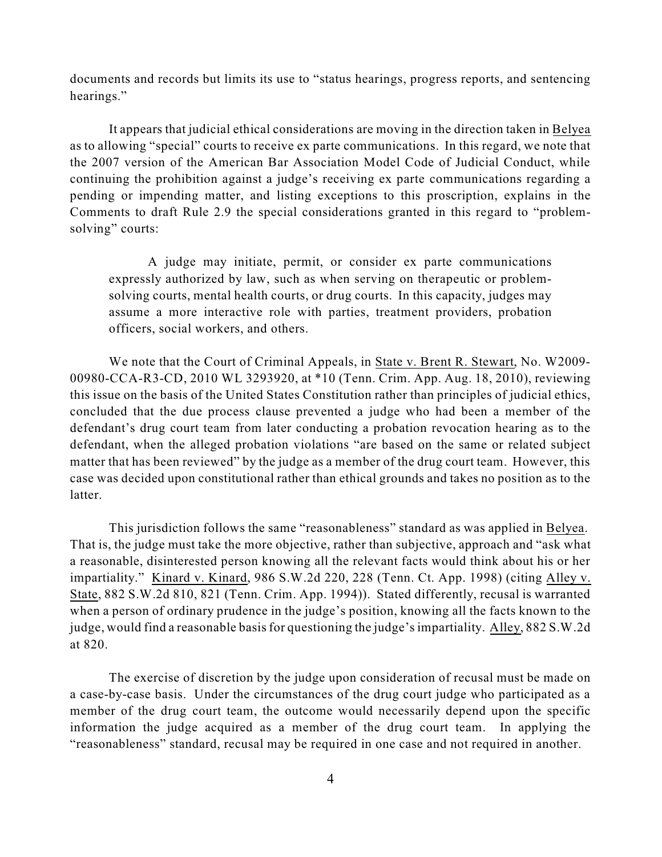documents and records but limits its use to "status hearings, progress reports, and sentencing hearings."

It appears that judicial ethical considerations are moving in the direction taken in Belyea as to allowing "special" courts to receive ex parte communications. In this regard, we note that the 2007 version of the American Bar Association Model Code of Judicial Conduct, while continuing the prohibition against a judge's receiving ex parte communications regarding a pending or impending matter, and listing exceptions to this proscription, explains in the Comments to draft Rule 2.9 the special considerations granted in this regard to "problemsolving" courts:

A judge may initiate, permit, or consider ex parte communications expressly authorized by law, such as when serving on therapeutic or problemsolving courts, mental health courts, or drug courts. In this capacity, judges may assume a more interactive role with parties, treatment providers, probation officers, social workers, and others.

We note that the Court of Criminal Appeals, in State v. Brent R. Stewart, No. W2009- 00980-CCA-R3-CD, 2010 WL 3293920, at \*10 (Tenn. Crim. App. Aug. 18, 2010), reviewing this issue on the basis of the United States Constitution rather than principles of judicial ethics, concluded that the due process clause prevented a judge who had been a member of the defendant's drug court team from later conducting a probation revocation hearing as to the defendant, when the alleged probation violations "are based on the same or related subject matter that has been reviewed" by the judge as a member of the drug court team. However, this case was decided upon constitutional rather than ethical grounds and takes no position as to the latter.

This jurisdiction follows the same "reasonableness" standard as was applied in Belyea. That is, the judge must take the more objective, rather than subjective, approach and "ask what a reasonable, disinterested person knowing all the relevant facts would think about his or her impartiality." Kinard v. Kinard, 986 S.W.2d 220, 228 (Tenn. Ct. App. 1998) (citing Alley v. State, 882 S.W.2d 810, 821 (Tenn. Crim. App. 1994)). Stated differently, recusal is warranted when a person of ordinary prudence in the judge's position, knowing all the facts known to the judge, would find a reasonable basisfor questioning the judge'simpartiality. Alley, 882 S.W.2d at 820.

The exercise of discretion by the judge upon consideration of recusal must be made on a case-by-case basis. Under the circumstances of the drug court judge who participated as a member of the drug court team, the outcome would necessarily depend upon the specific information the judge acquired as a member of the drug court team. In applying the "reasonableness" standard, recusal may be required in one case and not required in another.